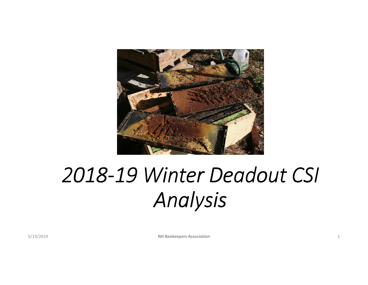

# *2018-19 Winter Deadout CSI Analysis*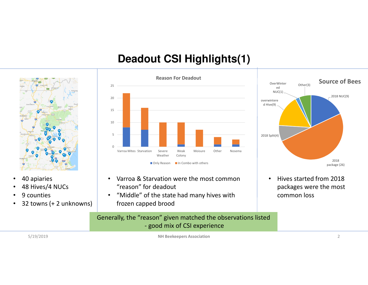# **Deadout CSI Highlights(1)**



- •40 apiaries
- •48 Hives/4 NUCs
- •9 counties
- 32 towns (+ 2 unknowns) •



- $\bullet$  Varroa & Starvation were the most common "reason" for deadout
- • "Middle" of the state had many hives with frozen capped brood

#### Generally, the "reason" given matched the observations listed- good mix of CSI experience

5/19/2019



• Hives started from 2018 packages were the most common loss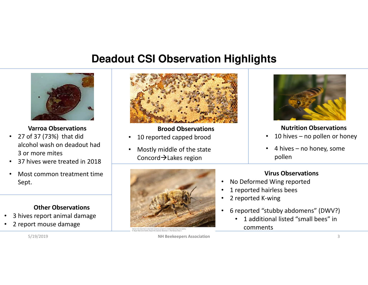# **Deadout CSI Observation Highlights**



**Varroa Observations**

- 27 of 37 (73%) that did alcohol wash on deadout had 3 or more mites
- 37 hives were treated in 2018 •
- • Most common treatment time Sept.

#### **Other Observations**

- 3 hives report animal damage•
- •2 report mouse damage



#### **Brood Observations**

- •10 reported capped brood
- • Mostly middle of the state Concord $\rightarrow$ Lakes region





#### **Nutrition Observations**

- 10 hives no pollen or honey •
- • 4 hives – no honey, some pollen

#### **Virus Observations**

- •No Deformed Wing reported
- •1 reported hairless bees
- •2 reported K-wing
- • 6 reported "stubby abdomens" (DWV?)
	- • 1 additional listed "small bees" in comments

5/19/2019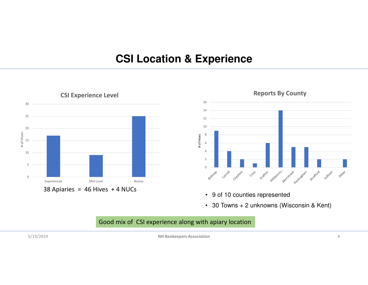## **CSI Location & Experience**





- 9 of 10 counties represented
- 30 Towns + 2 unknowns (Wisconsin & Kent)

#### Good mix of CSI experience along with apiary location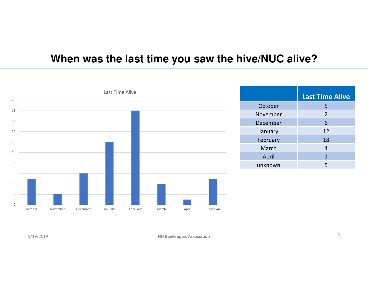# **When was the last time you saw the hive/NUC alive?**

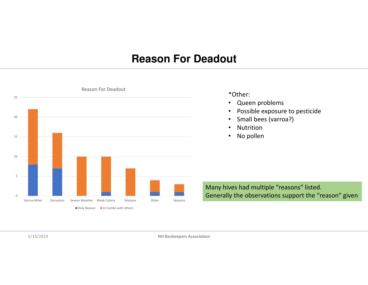# **Reason For Deadout**

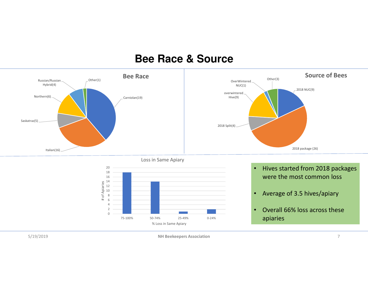### **Bee Race & Source**

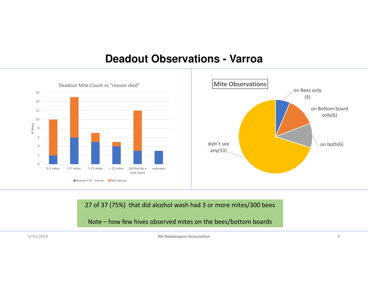### **Deadout Observations - Varroa**



27 of 37 (75%) that did alcohol wash had 3 or more mites/300 bees

Note – how few hives observed mites on the bees/bottom boards

5/19/2019

 **NH Beekeepers Association** $n \geq 8$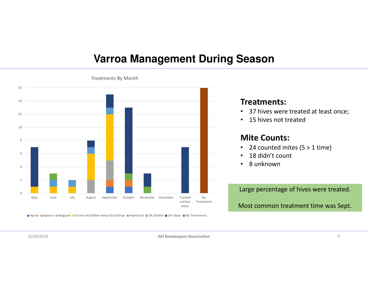### **Varroa Management During Season**



Apivar ■Apistan ■Apiguard ■Formic Acid/Mite-Away-QuickStrips ■HopGuard ■OA Dribble ■OA Vapor ■No Treatments

#### **Treatments:**

- 37 hives were treated at least once;
- •15 hives not treated

#### **Mite Counts:**

- •24 counted mites (5 > 1 time)
- $\bullet$ 18 didn't count
- •8 unknown

Large percentage of hives were treated.

Most common treatment time was Sept.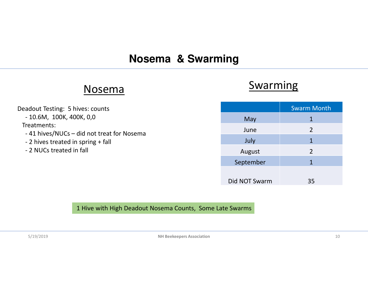# **Nosema & Swarming**

# Nosema

### Deadout Testing: 5 hives: counts - 10.6M, 100K, 400K, 0,0Treatments:- 41 hives/NUCs – did not treat for Nosema - 2 hives treated in spring + fall - 2 NUCs treated in fall

# **Swarming**

|               | <b>Swarm Month</b> |
|---------------|--------------------|
| May           | $\mathbf 1$        |
| June          | $\overline{2}$     |
| July          | 1                  |
| August        | $\overline{2}$     |
| September     | 1                  |
|               |                    |
| Did NOT Swarm | 35                 |

#### 1 Hive with High Deadout Nosema Counts, Some Late Swarms

5/19/2019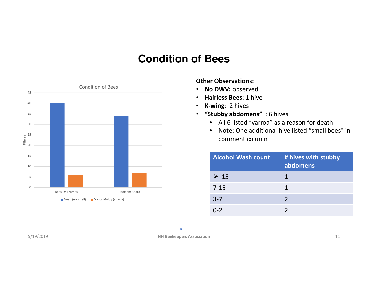# **Condition of Bees**



#### **Other Observations:**

- •**No DWV:** observed
- **Hairless Bees**: 1 hive•
- •**K-wing**: 2 hives
- **"Stubby abdomens"** : 6 hives
	- All 6 listed "varroa" as a reason for death
	- Note: One additional hive listed "small bees" in comment column

| <b>Alcohol Wash count</b> | # hives with stubby<br>abdomens |
|---------------------------|---------------------------------|
| $\triangleright$ 15       | 1                               |
| $7 - 15$                  | 1                               |
| $3 - 7$                   | $\mathcal{P}$                   |
| በ-2                       |                                 |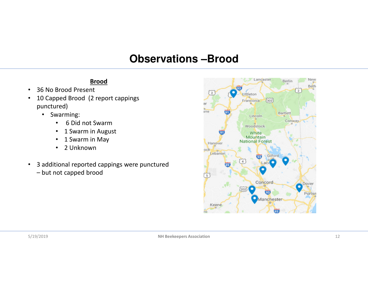# **Observations –Brood**

#### **Brood**

- •36 No Brood Present
- • 10 Capped Brood (2 report cappings punctured)
	- Swarming:
		- $\bullet$ 6 Did not Swarm
		- 1 Swarm in August  $\bullet$
		- $\bullet$ 1 Swarm in May
		- 2 Unknown
- • 3 additional reported cappings were punctured – but not capped brood

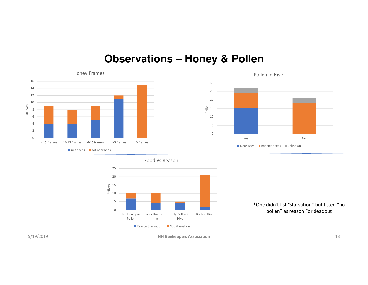# **Observations – Honey & Pollen**







\*One didn't list "starvation" but listed "no pollen" as reason For deadout

5/19/2019

**NH Beekeepers Association**

 $n \hspace{1.5cm} 13$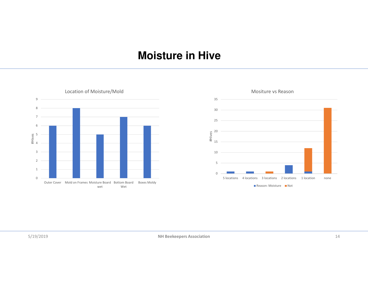# **Moisture in Hive**

012345 #Hives 6789Outer Cover Mold on Frames Moisture Board Bottom Board Boxes Moldy wetWetLocation of Moisture/Mold

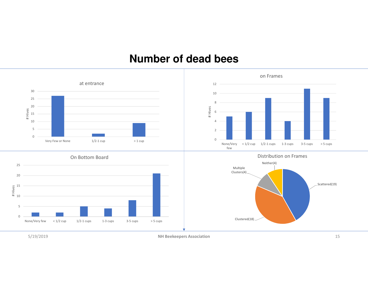### **Number of dead bees**